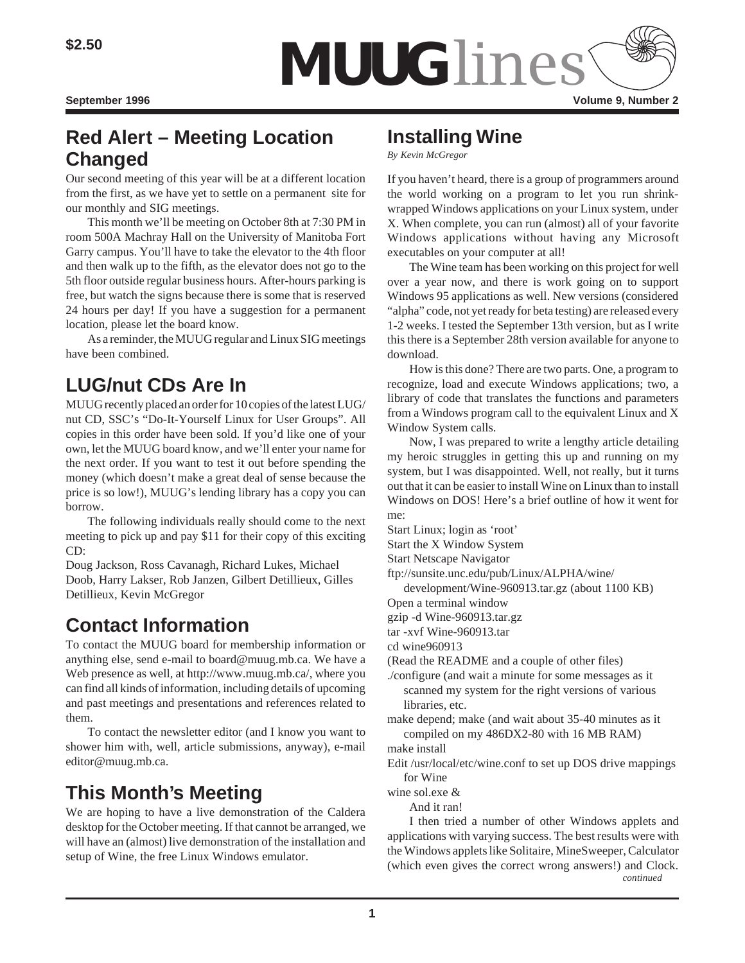

# **Red Alert – Meeting Location Changed**

Our second meeting of this year will be at a different location from the first, as we have yet to settle on a permanent site for our monthly and SIG meetings.

This month we'll be meeting on October 8th at 7:30 PM in room 500A Machray Hall on the University of Manitoba Fort Garry campus. You'll have to take the elevator to the 4th floor and then walk up to the fifth, as the elevator does not go to the 5th floor outside regular business hours. After-hours parking is free, but watch the signs because there is some that is reserved 24 hours per day! If you have a suggestion for a permanent location, please let the board know.

As a reminder, the MUUG regular and Linux SIG meetings have been combined.

# **LUG/nut CDs Are In**

MUUG recently placed an order for 10 copies of the latest LUG/ nut CD, SSC's "Do-It-Yourself Linux for User Groups". All copies in this order have been sold. If you'd like one of your own, let the MUUG board know, and we'll enter your name for the next order. If you want to test it out before spending the money (which doesn't make a great deal of sense because the price is so low!), MUUG's lending library has a copy you can borrow.

The following individuals really should come to the next meeting to pick up and pay \$11 for their copy of this exciting CD:

Doug Jackson, Ross Cavanagh, Richard Lukes, Michael Doob, Harry Lakser, Rob Janzen, Gilbert Detillieux, Gilles Detillieux, Kevin McGregor

# **Contact Information**

To contact the MUUG board for membership information or anything else, send e-mail to board@muug.mb.ca. We have a Web presence as well, at http://www.muug.mb.ca/, where you can find all kinds of information, including details of upcoming and past meetings and presentations and references related to them.

To contact the newsletter editor (and I know you want to shower him with, well, article submissions, anyway), e-mail editor@muug.mb.ca.

# **This Month's Meeting**

We are hoping to have a live demonstration of the Caldera desktop for the October meeting. If that cannot be arranged, we will have an (almost) live demonstration of the installation and setup of Wine, the free Linux Windows emulator.

## **Installing Wine**

*By Kevin McGregor*

If you haven't heard, there is a group of programmers around the world working on a program to let you run shrinkwrapped Windows applications on your Linux system, under X. When complete, you can run (almost) all of your favorite Windows applications without having any Microsoft executables on your computer at all!

The Wine team has been working on this project for well over a year now, and there is work going on to support Windows 95 applications as well. New versions (considered "alpha" code, not yet ready for beta testing) are released every 1-2 weeks. I tested the September 13th version, but as I write this there is a September 28th version available for anyone to download.

How is this done? There are two parts. One, a program to recognize, load and execute Windows applications; two, a library of code that translates the functions and parameters from a Windows program call to the equivalent Linux and X Window System calls.

Now, I was prepared to write a lengthy article detailing my heroic struggles in getting this up and running on my system, but I was disappointed. Well, not really, but it turns out that it can be easier to install Wine on Linux than to install Windows on DOS! Here's a brief outline of how it went for me:

- Start Linux; login as 'root'
- Start the X Window System
- Start Netscape Navigator

ftp://sunsite.unc.edu/pub/Linux/ALPHA/wine/

development/Wine-960913.tar.gz (about 1100 KB)

Open a terminal window

gzip -d Wine-960913.tar.gz

tar -xvf Wine-960913.tar

cd wine960913

(Read the README and a couple of other files)

./configure (and wait a minute for some messages as it scanned my system for the right versions of various libraries, etc.

make depend; make (and wait about 35-40 minutes as it compiled on my 486DX2-80 with 16 MB RAM)

make install

Edit /usr/local/etc/wine.conf to set up DOS drive mappings for Wine

wine sol.exe &

And it ran!

I then tried a number of other Windows applets and applications with varying success. The best results were with the Windows applets like Solitaire, MineSweeper, Calculator (which even gives the correct wrong answers!) and Clock. *continued*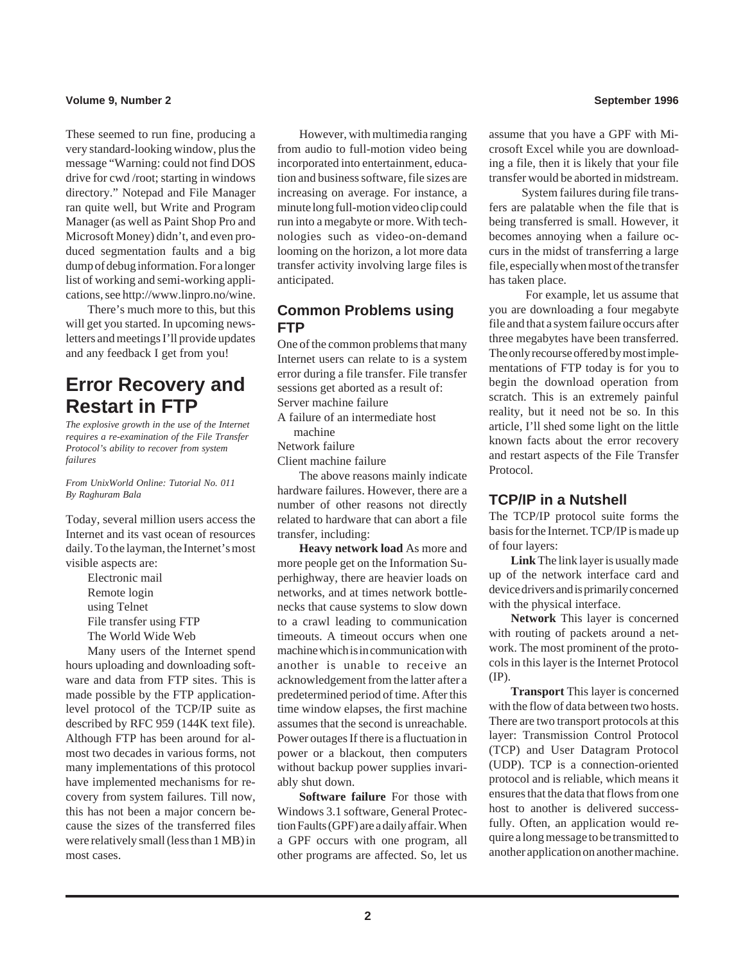### **Volume 9, Number 2 September 1996**

These seemed to run fine, producing a very standard-looking window, plus the message "Warning: could not find DOS drive for cwd /root; starting in windows directory." Notepad and File Manager ran quite well, but Write and Program Manager (as well as Paint Shop Pro and Microsoft Money) didn't, and even produced segmentation faults and a big dump of debug information. For a longer list of working and semi-working applications, see http://www.linpro.no/wine.

There's much more to this, but this will get you started. In upcoming newsletters and meetings I'll provide updates and any feedback I get from you!

## **Error Recovery and Restart in FTP**

*The explosive growth in the use of the Internet requires a re-examination of the File Transfer Protocol's ability to recover from system failures*

*From UnixWorld Online: Tutorial No. 011 By Raghuram Bala*

Today, several million users access the Internet and its vast ocean of resources daily. To the layman, the Internet's most visible aspects are:

Electronic mail Remote login using Telnet File transfer using FTP The World Wide Web

Many users of the Internet spend hours uploading and downloading software and data from FTP sites. This is made possible by the FTP applicationlevel protocol of the TCP/IP suite as described by RFC 959 (144K text file). Although FTP has been around for almost two decades in various forms, not many implementations of this protocol have implemented mechanisms for recovery from system failures. Till now, this has not been a major concern because the sizes of the transferred files were relatively small (less than 1 MB) in most cases.

However, with multimedia ranging from audio to full-motion video being incorporated into entertainment, education and business software, file sizes are increasing on average. For instance, a minute long full-motion video clip could run into a megabyte or more. With technologies such as video-on-demand looming on the horizon, a lot more data transfer activity involving large files is anticipated.

## **Common Problems using FTP**

One of the common problems that many Internet users can relate to is a system error during a file transfer. File transfer sessions get aborted as a result of: Server machine failure

A failure of an intermediate host machine

Network failure

Client machine failure

The above reasons mainly indicate hardware failures. However, there are a number of other reasons not directly related to hardware that can abort a file transfer, including:

**Heavy network load** As more and more people get on the Information Superhighway, there are heavier loads on networks, and at times network bottlenecks that cause systems to slow down to a crawl leading to communication timeouts. A timeout occurs when one machine which is in communication with another is unable to receive an acknowledgement from the latter after a predetermined period of time. After this time window elapses, the first machine assumes that the second is unreachable. Power outages If there is a fluctuation in power or a blackout, then computers without backup power supplies invariably shut down.

**Software failure** For those with Windows 3.1 software, General Protection Faults (GPF) are a daily affair. When a GPF occurs with one program, all other programs are affected. So, let us

assume that you have a GPF with Microsoft Excel while you are downloading a file, then it is likely that your file transfer would be aborted in midstream.

 System failures during file transfers are palatable when the file that is being transferred is small. However, it becomes annoying when a failure occurs in the midst of transferring a large file, especially when most of the transfer has taken place.

 For example, let us assume that you are downloading a four megabyte file and that a system failure occurs after three megabytes have been transferred. The only recourse offered by most implementations of FTP today is for you to begin the download operation from scratch. This is an extremely painful reality, but it need not be so. In this article, I'll shed some light on the little known facts about the error recovery and restart aspects of the File Transfer Protocol.

## **TCP/IP in a Nutshell**

The TCP/IP protocol suite forms the basis for the Internet. TCP/IP is made up of four layers:

**Link** The link layer is usually made up of the network interface card and device drivers and is primarily concerned with the physical interface.

**Network** This layer is concerned with routing of packets around a network. The most prominent of the protocols in this layer is the Internet Protocol (IP).

**Transport** This layer is concerned with the flow of data between two hosts. There are two transport protocols at this layer: Transmission Control Protocol (TCP) and User Datagram Protocol (UDP). TCP is a connection-oriented protocol and is reliable, which means it ensures that the data that flows from one host to another is delivered successfully. Often, an application would require a long message to be transmitted to another application on another machine.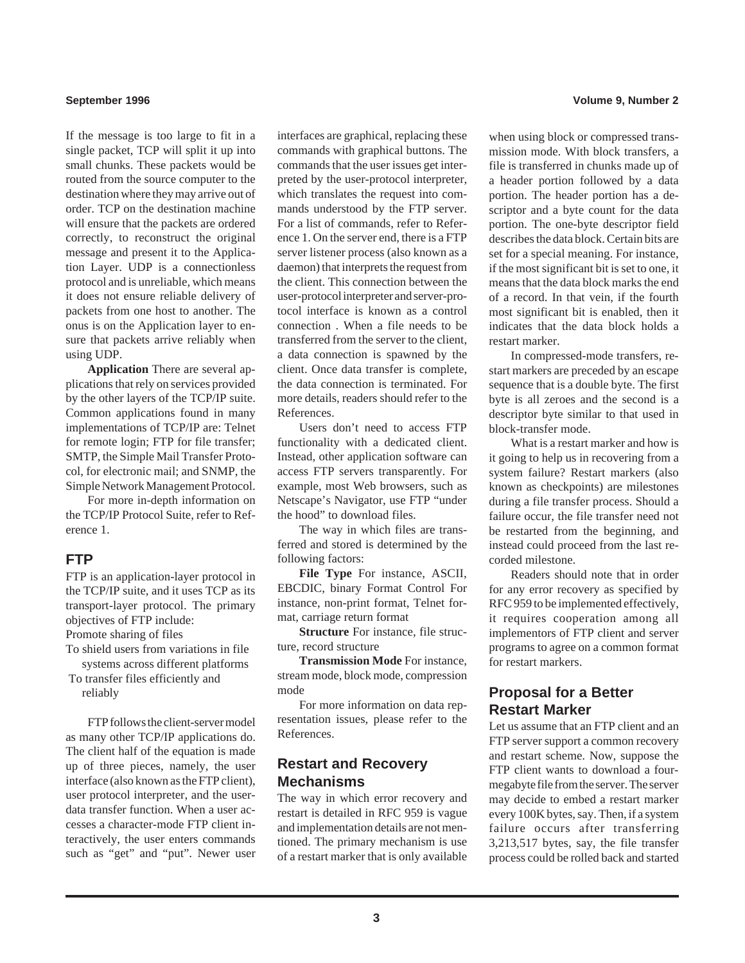If the message is too large to fit in a single packet, TCP will split it up into small chunks. These packets would be routed from the source computer to the destination where they may arrive out of order. TCP on the destination machine will ensure that the packets are ordered correctly, to reconstruct the original message and present it to the Application Layer. UDP is a connectionless protocol and is unreliable, which means it does not ensure reliable delivery of packets from one host to another. The onus is on the Application layer to ensure that packets arrive reliably when using UDP.

**Application** There are several applications that rely on services provided by the other layers of the TCP/IP suite. Common applications found in many implementations of TCP/IP are: Telnet for remote login; FTP for file transfer; SMTP, the Simple Mail Transfer Protocol, for electronic mail; and SNMP, the Simple Network Management Protocol.

For more in-depth information on the TCP/IP Protocol Suite, refer to Reference 1.

### **FTP**

FTP is an application-layer protocol in the TCP/IP suite, and it uses TCP as its transport-layer protocol. The primary objectives of FTP include: Promote sharing of files

To shield users from variations in file systems across different platforms

 To transfer files efficiently and reliably

FTP follows the client-server model as many other TCP/IP applications do. The client half of the equation is made up of three pieces, namely, the user interface (also known as the FTP client), user protocol interpreter, and the userdata transfer function. When a user accesses a character-mode FTP client interactively, the user enters commands such as "get" and "put". Newer user

interfaces are graphical, replacing these commands with graphical buttons. The commands that the user issues get interpreted by the user-protocol interpreter, which translates the request into commands understood by the FTP server. For a list of commands, refer to Reference 1. On the server end, there is a FTP server listener process (also known as a daemon) that interprets the request from the client. This connection between the user-protocol interpreter and server-protocol interface is known as a control connection . When a file needs to be transferred from the server to the client, a data connection is spawned by the client. Once data transfer is complete, the data connection is terminated. For more details, readers should refer to the References.

Users don't need to access FTP functionality with a dedicated client. Instead, other application software can access FTP servers transparently. For example, most Web browsers, such as Netscape's Navigator, use FTP "under the hood" to download files.

The way in which files are transferred and stored is determined by the following factors:

**File Type** For instance, ASCII, EBCDIC, binary Format Control For instance, non-print format, Telnet format, carriage return format

**Structure** For instance, file structure, record structure

**Transmission Mode** For instance, stream mode, block mode, compression mode

For more information on data representation issues, please refer to the References.

## **Restart and Recovery Mechanisms**

The way in which error recovery and restart is detailed in RFC 959 is vague and implementation details are not mentioned. The primary mechanism is use of a restart marker that is only available

### **September 1996 Volume 9, Number 2**

when using block or compressed transmission mode. With block transfers, a file is transferred in chunks made up of a header portion followed by a data portion. The header portion has a descriptor and a byte count for the data portion. The one-byte descriptor field describes the data block. Certain bits are set for a special meaning. For instance, if the most significant bit is set to one, it means that the data block marks the end of a record. In that vein, if the fourth most significant bit is enabled, then it indicates that the data block holds a restart marker.

In compressed-mode transfers, restart markers are preceded by an escape sequence that is a double byte. The first byte is all zeroes and the second is a descriptor byte similar to that used in block-transfer mode.

What is a restart marker and how is it going to help us in recovering from a system failure? Restart markers (also known as checkpoints) are milestones during a file transfer process. Should a failure occur, the file transfer need not be restarted from the beginning, and instead could proceed from the last recorded milestone.

Readers should note that in order for any error recovery as specified by RFC 959 to be implemented effectively, it requires cooperation among all implementors of FTP client and server programs to agree on a common format for restart markers.

## **Proposal for a Better Restart Marker**

Let us assume that an FTP client and an FTP server support a common recovery and restart scheme. Now, suppose the FTP client wants to download a fourmegabyte file from the server. The server may decide to embed a restart marker every 100K bytes, say. Then, if a system failure occurs after transferring 3,213,517 bytes, say, the file transfer process could be rolled back and started